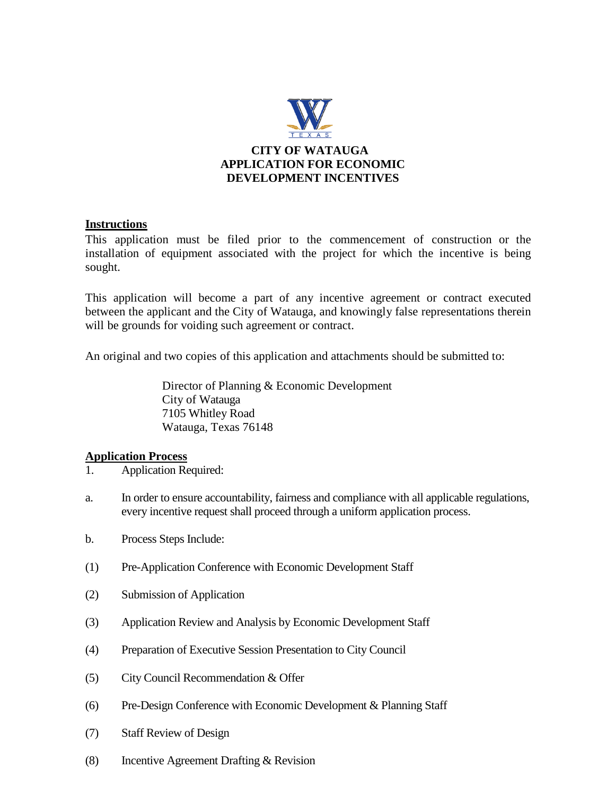

### **Instructions**

This application must be filed prior to the commencement of construction or the installation of equipment associated with the project for which the incentive is being sought.

This application will become a part of any incentive agreement or contract executed between the applicant and the City of Watauga, and knowingly false representations therein will be grounds for voiding such agreement or contract.

An original and two copies of this application and attachments should be submitted to:

Director of Planning & Economic Development City of Watauga 7105 Whitley Road Watauga, Texas 76148

### **Application Process**

- 1. Application Required:
- a. In order to ensure accountability, fairness and compliance with all applicable regulations, every incentive request shall proceed through a uniform application process.
- b. Process Steps Include:
- (1) Pre-Application Conference with Economic Development Staff
- (2) Submission of Application
- (3) Application Review and Analysis by Economic Development Staff
- (4) Preparation of Executive Session Presentation to City Council
- (5) City Council Recommendation & Offer
- (6) Pre-Design Conference with Economic Development & Planning Staff
- (7) Staff Review of Design
- (8) Incentive Agreement Drafting & Revision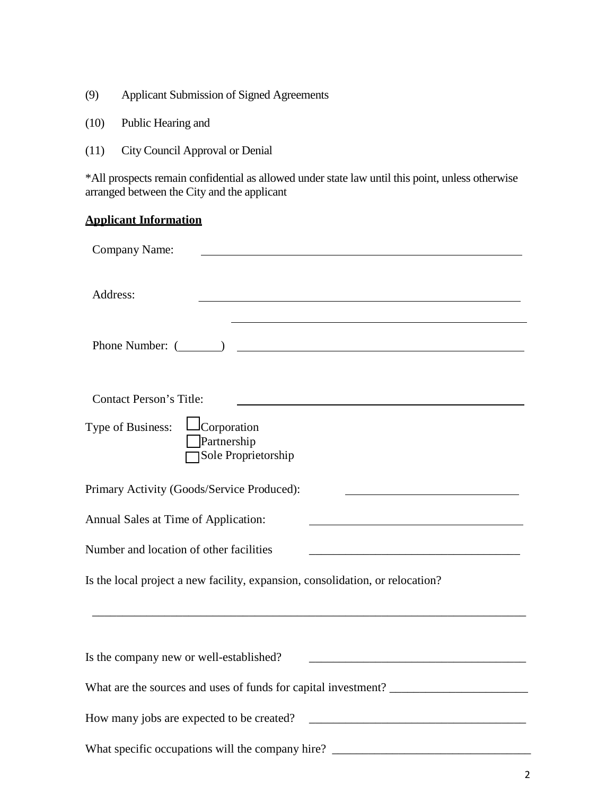- (9) Applicant Submission of Signed Agreements
- (10) Public Hearing and
- (11) City Council Approval or Denial

\*All prospects remain confidential as allowed under state law until this point, unless otherwise arranged between the City and the applicant

# **Applicant Information**

| Company Name:                                                                                                    |  |  |
|------------------------------------------------------------------------------------------------------------------|--|--|
| Address:                                                                                                         |  |  |
|                                                                                                                  |  |  |
| <b>Contact Person's Title:</b><br>$\perp$ Corporation<br>Type of Business:<br>Partnership<br>Sole Proprietorship |  |  |
| Primary Activity (Goods/Service Produced):                                                                       |  |  |
| Annual Sales at Time of Application:                                                                             |  |  |
| Number and location of other facilities<br><u> 1980 - Jan Stein Stein, fransk politik fotograf (d. 1980)</u>     |  |  |
| Is the local project a new facility, expansion, consolidation, or relocation?                                    |  |  |
| Is the company new or well-established?                                                                          |  |  |
|                                                                                                                  |  |  |
| How many jobs are expected to be created?                                                                        |  |  |
|                                                                                                                  |  |  |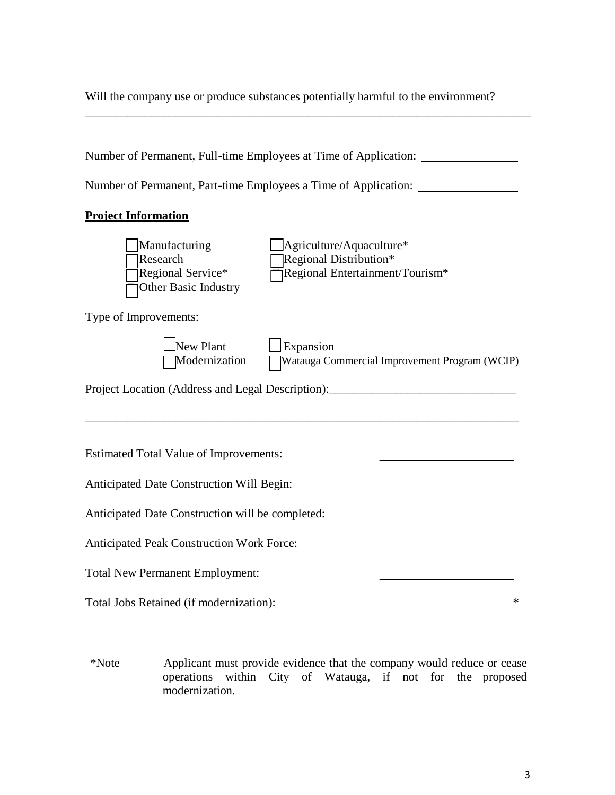Will the company use or produce substances potentially harmful to the environment?

\_\_\_\_\_\_\_\_\_\_\_\_\_\_\_\_\_\_\_\_\_\_\_\_\_\_\_\_\_\_\_\_\_\_\_\_\_\_\_\_\_\_\_\_\_\_\_\_\_\_\_\_\_\_\_\_\_\_\_\_\_\_\_\_\_\_\_\_\_\_\_\_\_\_

| Number of Permanent, Full-time Employees at Time of Application: _______________         |                                                                                       |  |  |
|------------------------------------------------------------------------------------------|---------------------------------------------------------------------------------------|--|--|
| Number of Permanent, Part-time Employees a Time of Application:                          |                                                                                       |  |  |
| <b>Project Information</b>                                                               |                                                                                       |  |  |
| Manufacturing<br>Research<br>Regional Service*<br>Other Basic Industry                   | Agriculture/Aquaculture*<br>Regional Distribution*<br>Regional Entertainment/Tourism* |  |  |
| Type of Improvements:                                                                    |                                                                                       |  |  |
| New Plant<br>Expansion<br>Modernization<br>Watauga Commercial Improvement Program (WCIP) |                                                                                       |  |  |
| Project Location (Address and Legal Description):________________________________        |                                                                                       |  |  |
| <b>Estimated Total Value of Improvements:</b>                                            |                                                                                       |  |  |
| Anticipated Date Construction Will Begin:                                                |                                                                                       |  |  |
| Anticipated Date Construction will be completed:                                         |                                                                                       |  |  |
| Anticipated Peak Construction Work Force:                                                |                                                                                       |  |  |
| <b>Total New Permanent Employment:</b>                                                   |                                                                                       |  |  |
| Total Jobs Retained (if modernization):                                                  |                                                                                       |  |  |

\*Note Applicant must provide evidence that the company would reduce or cease operations within City of Watauga, if not for the proposed modernization.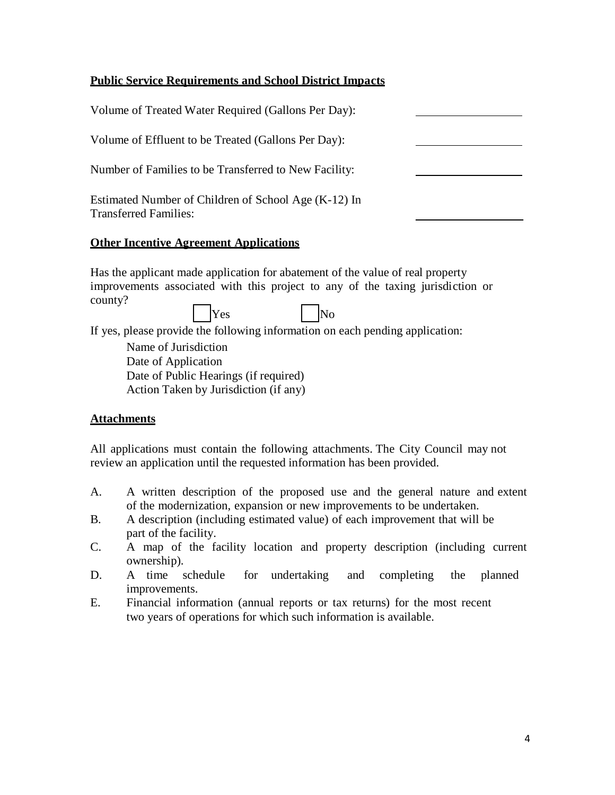## **Public Service Requirements and School District Impacts**

| Volume of Treated Water Required (Gallons Per Day):                                  |  |
|--------------------------------------------------------------------------------------|--|
| Volume of Effluent to be Treated (Gallons Per Day):                                  |  |
| Number of Families to be Transferred to New Facility:                                |  |
| Estimated Number of Children of School Age (K-12) In<br><b>Transferred Families:</b> |  |
|                                                                                      |  |

## **Other Incentive Agreement Applications**

Has the applicant made application for abatement of the value of real property improvements associated with this project to any of the taxing jurisdiction or county? Yes No

If yes, please provide the following information on each pending application:

Name of Jurisdiction Date of Application Date of Public Hearings (if required) Action Taken by Jurisdiction (if any)

### **Attachments**

All applications must contain the following attachments. The City Council may not review an application until the requested information has been provided.

- A. A written description of the proposed use and the general nature and extent of the modernization, expansion or new improvements to be undertaken.
- B. A description (including estimated value) of each improvement that will be part of the facility.
- C. A map of the facility location and property description (including current ownership).
- D. A time schedule for undertaking and completing the planned improvements.
- E. Financial information (annual reports or tax returns) for the most recent two years of operations for which such information is available.